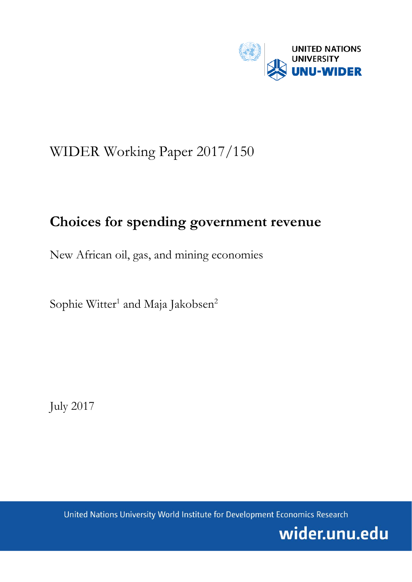

# WIDER Working Paper 2017/150

## **Choices for spending government revenue**

New African oil, gas, and mining economies

Sophie Witter<sup>1</sup> and Maja Jakobsen<sup>2</sup>

July 2017

United Nations University World Institute for Development Economics Research

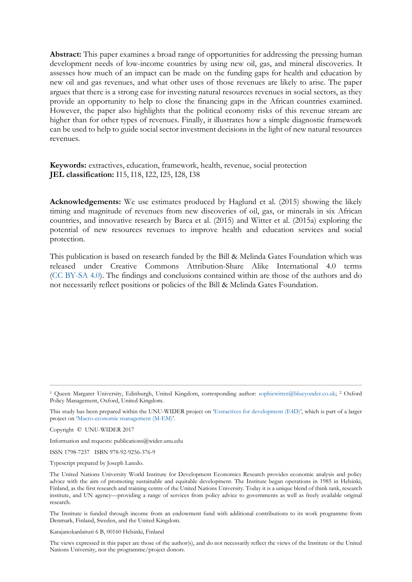**Abstract:** This paper examines a broad range of opportunities for addressing the pressing human development needs of low-income countries by using new oil, gas, and mineral discoveries. It assesses how much of an impact can be made on the funding gaps for health and education by new oil and gas revenues, and what other uses of those revenues are likely to arise. The paper argues that there is a strong case for investing natural resources revenues in social sectors, as they provide an opportunity to help to close the financing gaps in the African countries examined. However, the paper also highlights that the political economy risks of this revenue stream are higher than for other types of revenues. Finally, it illustrates how a simple diagnostic framework can be used to help to guide social sector investment decisions in the light of new natural resources revenues.

**Keywords:** extractives, education, framework, health, revenue, social protection **JEL classification:** I15, I18, I22, I25, I28, I38

**Acknowledgements:** We use estimates produced by Haglund et al. (2015) showing the likely timing and magnitude of revenues from new discoveries of oil, gas, or minerals in six African countries, and innovative research by Barca et al. (2015) and Witter et al. (2015a) exploring the potential of new resources revenues to improve health and education services and social protection.

This publication is based on research funded by the Bill & Melinda Gates Foundation which was released under Creative Commons Attribution-Share Alike International 4.0 terms [\(CC BY-SA 4.0\)](https://creativecommons.org/licenses/by-sa/4.0/). The findings and conclusions contained within are those of the authors and do not necessarily reflect positions or policies of the Bill & Melinda Gates Foundation.

Copyright © UNU-WIDER 2017

Information and requests: publications@wider.unu.edu

ISSN 1798-7237 ISBN 978-92-9256-376-9

Typescript prepared by Joseph Laredo.

The Institute is funded through income from an endowment fund with additional contributions to its work programme from Denmark, Finland, Sweden, and the United Kingdom.

Katajanokanlaituri 6 B, 00160 Helsinki, Finland

<sup>1</sup> Queen Margaret University, Edinburgh, United Kingdom, corresponding author: [sophiewitter@blueyonder.co.uk;](mailto:sophiewitter@blueyonder.co.uk) <sup>2</sup> Oxford Policy Management, Oxford, United Kingdom.

This study has been prepared within the UNU-WIDER project on ['Extractives for development \(E4D\)',](https://www.wider.unu.edu/node/474) which is part of a larger project on ['Macro-economic management \(M-EM\)'.](https://www.wider.unu.edu/node/377)

The United Nations University World Institute for Development Economics Research provides economic analysis and policy advice with the aim of promoting sustainable and equitable development. The Institute began operations in 1985 in Helsinki, Finland, as the first research and training centre of the United Nations University. Today it is a unique blend of think tank, research institute, and UN agency—providing a range of services from policy advice to governments as well as freely available original research.

The views expressed in this paper are those of the author(s), and do not necessarily reflect the views of the Institute or the United Nations University, nor the programme/project donors.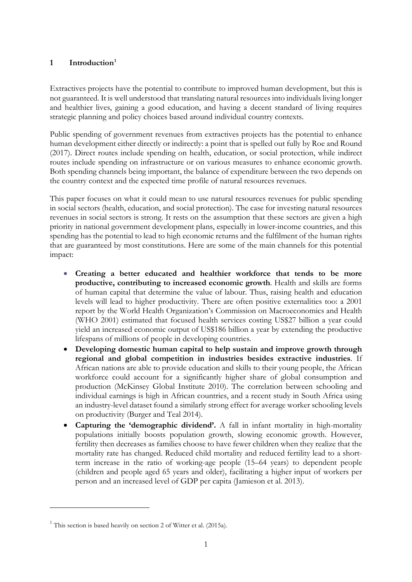## **1 Introduction[1](#page-2-0)**

Extractives projects have the potential to contribute to improved human development, but this is not guaranteed. It is well understood that translating natural resources into individuals living longer and healthier lives, gaining a good education, and having a decent standard of living requires strategic planning and policy choices based around individual country contexts.

Public spending of government revenues from extractives projects has the potential to enhance human development either directly or indirectly: a point that is spelled out fully by Roe and Round (2017). Direct routes include spending on health, education, or social protection, while indirect routes include spending on infrastructure or on various measures to enhance economic growth. Both spending channels being important, the balance of expenditure between the two depends on the country context and the expected time profile of natural resources revenues.

This paper focuses on what it could mean to use natural resources revenues for public spending in social sectors (health, education, and social protection). The case for investing natural resources revenues in social sectors is strong. It rests on the assumption that these sectors are given a high priority in national government development plans, especially in lower-income countries, and this spending has the potential to lead to high economic returns and the fulfilment of the human rights that are guaranteed by most constitutions. Here are some of the main channels for this potential impact:

- **Creating a better educated and healthier workforce that tends to be more productive, contributing to increased economic growth**. Health and skills are forms of human capital that determine the value of labour. Thus, raising health and education levels will lead to higher productivity. There are often positive externalities too: a 2001 report by the World Health Organization's Commission on Macroeconomics and Health (WHO 2001) estimated that focused health services costing US\$27 billion a year could yield an increased economic output of US\$186 billion a year by extending the productive lifespans of millions of people in developing countries.
- **Developing domestic human capital to help sustain and improve growth through regional and global competition in industries besides extractive industries**. If African nations are able to provide education and skills to their young people, the African workforce could account for a significantly higher share of global consumption and production (McKinsey Global Institute 2010). The correlation between schooling and individual earnings is high in African countries, and a recent study in South Africa using an industry-level dataset found a similarly strong effect for average worker schooling levels on productivity (Burger and Teal 2014).
- **Capturing the 'demographic dividend'.** A fall in infant mortality in high-mortality populations initially boosts population growth, slowing economic growth. However, fertility then decreases as families choose to have fewer children when they realize that the mortality rate has changed. Reduced child mortality and reduced fertility lead to a shortterm increase in the ratio of working-age people (15–64 years) to dependent people (children and people aged 65 years and older), facilitating a higher input of workers per person and an increased level of GDP per capita (Jamieson et al. 2013).

-

<span id="page-2-0"></span> $1$  This section is based heavily on section 2 of Witter et al. (2015a).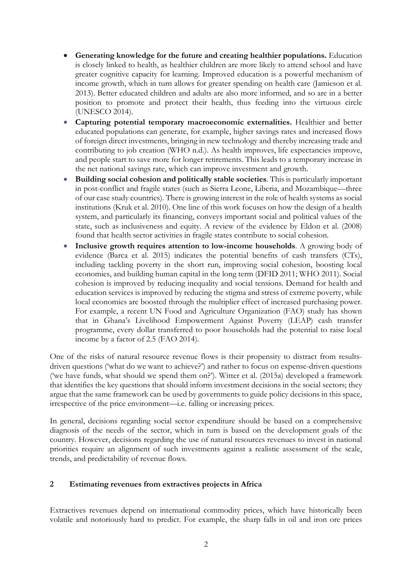- **Generating knowledge for the future and creating healthier populations.** Education is closely linked to health, as healthier children are more likely to attend school and have greater cognitive capacity for learning. Improved education is a powerful mechanism of income growth, which in turn allows for greater spending on health care (Jamieson et al. 2013). Better educated children and adults are also more informed, and so are in a better position to promote and protect their health, thus feeding into the virtuous circle (UNESCO 2014).
- **Capturing potential temporary macroeconomic externalities.** Healthier and better educated populations can generate, for example, higher savings rates and increased flows of foreign direct investments, bringing in new technology and thereby increasing trade and contributing to job creation (WHO n.d.). As health improves, life expectancies improve, and people start to save more for longer retirements. This leads to a temporary increase in the net national savings rate, which can improve investment and growth.
- **Building social cohesion and politically stable societies**. This is particularly important in post-conflict and fragile states (such as Sierra Leone, Liberia, and Mozambique—three of our case study countries). There is growing interest in the role of health systems as social institutions (Kruk et al. 2010). One line of this work focuses on how the design of a health system, and particularly its financing, conveys important social and political values of the state, such as inclusiveness and equity. A review of the evidence by Eldon et al. (2008) found that health sector activities in fragile states contribute to social cohesion.
- **Inclusive growth requires attention to low-income households**. A growing body of evidence (Barca et al. 2015) indicates the potential benefits of cash transfers (CTs), including tackling poverty in the short run, improving social cohesion, boosting local economies, and building human capital in the long term (DFID 2011; WHO 2011). Social cohesion is improved by reducing inequality and social tensions. Demand for health and education services is improved by reducing the stigma and stress of extreme poverty, while local economies are boosted through the multiplier effect of increased purchasing power. For example, a recent UN Food and Agriculture Organization (FAO) study has shown that in Ghana's Livelihood Empowerment Against Poverty (LEAP) cash transfer programme, every dollar transferred to poor households had the potential to raise local income by a factor of 2.5 (FAO 2014).

One of the risks of natural resource revenue flows is their propensity to distract from resultsdriven questions ('what do we want to achieve?') and rather to focus on expense-driven questions ('we have funds, what should we spend them on?'). Witter et al. (2015a) developed a framework that identifies the key questions that should inform investment decisions in the social sectors; they argue that the same framework can be used by governments to guide policy decisions in this space, irrespective of the price environment—i.e. falling or increasing prices.

In general, decisions regarding social sector expenditure should be based on a comprehensive diagnosis of the needs of the sector, which in turn is based on the development goals of the country. However, decisions regarding the use of natural resources revenues to invest in national priorities require an alignment of such investments against a realistic assessment of the scale, trends, and predictability of revenue flows.

## **2 Estimating revenues from extractives projects in Africa**

Extractives revenues depend on international commodity prices, which have historically been volatile and notoriously hard to predict. For example, the sharp falls in oil and iron ore prices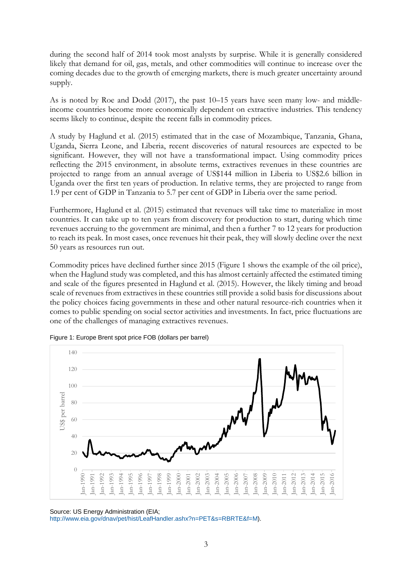during the second half of 2014 took most analysts by surprise. While it is generally considered likely that demand for oil, gas, metals, and other commodities will continue to increase over the coming decades due to the growth of emerging markets, there is much greater uncertainty around supply.

As is noted by Roe and Dodd (2017), the past 10–15 years have seen many low- and middleincome countries become more economically dependent on extractive industries. This tendency seems likely to continue, despite the recent falls in commodity prices.

A study by Haglund et al. (2015) estimated that in the case of Mozambique, Tanzania, Ghana, Uganda, Sierra Leone, and Liberia, recent discoveries of natural resources are expected to be significant. However, they will not have a transformational impact. Using commodity prices reflecting the 2015 environment, in absolute terms, extractives revenues in these countries are projected to range from an annual average of US\$144 million in Liberia to US\$2.6 billion in Uganda over the first ten years of production. In relative terms, they are projected to range from 1.9 per cent of GDP in Tanzania to 5.7 per cent of GDP in Liberia over the same period.

Furthermore, Haglund et al. (2015) estimated that revenues will take time to materialize in most countries. It can take up to ten years from discovery for production to start, during which time revenues accruing to the government are minimal, and then a further 7 to 12 years for production to reach its peak. In most cases, once revenues hit their peak, they will slowly decline over the next 50 years as resources run out.

Commodity prices have declined further since 2015 (Figure 1 shows the example of the oil price), when the Haglund study was completed, and this has almost certainly affected the estimated timing and scale of the figures presented in Haglund et al. (2015). However, the likely timing and broad scale of revenues from extractives in these countries still provide a solid basis for discussions about the policy choices facing governments in these and other natural resource-rich countries when it comes to public spending on social sector activities and investments. In fact, price fluctuations are one of the challenges of managing extractives revenues.



Figure 1: Europe Brent spot price FOB (dollars per barrel)

Source: US Energy Administration (EIA;

[http://www.eia.gov/dnav/pet/hist/LeafHandler.ashx?n=PET&s=RBRTE&f=M\)](http://www.eia.gov/dnav/pet/hist/LeafHandler.ashx?n=PET&s=RBRTE&f=M).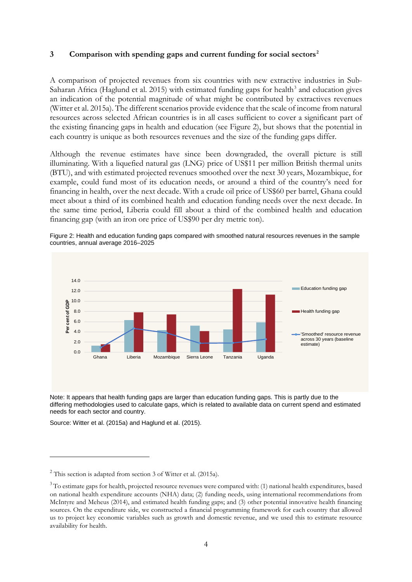#### **3 Comparison with spending gaps and current funding for social sectors[2](#page-5-0)**

A comparison of projected revenues from six countries with new extractive industries in Sub-Saharan Africa (Haglund et al. 2015) with estimated funding gaps for health<sup>[3](#page-5-1)</sup> and education gives an indication of the potential magnitude of what might be contributed by extractives revenues (Witter et al. 2015a). The different scenarios provide evidence that the scale of income from natural resources across selected African countries is in all cases sufficient to cover a significant part of the existing financing gaps in health and education (see Figure 2), but shows that the potential in each country is unique as both resources revenues and the size of the funding gaps differ.

Although the revenue estimates have since been downgraded, the overall picture is still illuminating. With a liquefied natural gas (LNG) price of US\$11 per million British thermal units (BTU), and with estimated projected revenues smoothed over the next 30 years, Mozambique, for example, could fund most of its education needs, or around a third of the country's need for financing in health, over the next decade. With a crude oil price of US\$60 per barrel, Ghana could meet about a third of its combined health and education funding needs over the next decade. In the same time period, Liberia could fill about a third of the combined health and education financing gap (with an iron ore price of US\$90 per dry metric ton).





Note: It appears that health funding gaps are larger than education funding gaps. This is partly due to the differing methodologies used to calculate gaps, which is related to available data on current spend and estimated needs for each sector and country.

Source: Witter et al. (2015a) and Haglund et al. (2015).

<u>.</u>

<span id="page-5-0"></span> $2$  This section is adapted from section 3 of Witter et al. (2015a).

<span id="page-5-1"></span><sup>&</sup>lt;sup>3</sup> To estimate gaps for health, projected resource revenues were compared with: (1) national health expenditures, based on national health expenditure accounts (NHA) data; (2) funding needs, using international recommendations from McIntyre and Meheus (2014), and estimated health funding gaps; and (3) other potential innovative health financing sources. On the expenditure side, we constructed a financial programming framework for each country that allowed us to project key economic variables such as growth and domestic revenue, and we used this to estimate resource availability for health.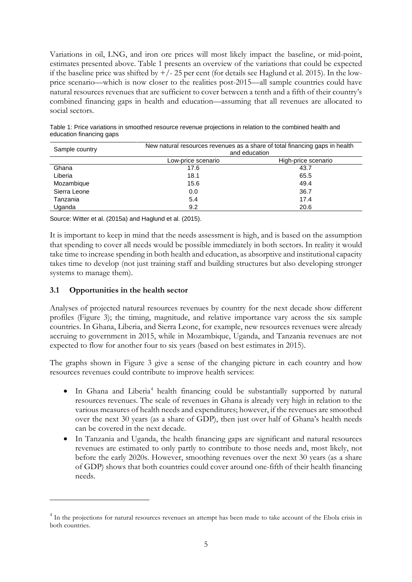Variations in oil, LNG, and iron ore prices will most likely impact the baseline, or mid-point, estimates presented above. Table 1 presents an overview of the variations that could be expected if the baseline price was shifted by  $+/- 25$  per cent (for details see Haglund et al. 2015). In the lowprice scenario—which is now closer to the realities post-2015—all sample countries could have natural resources revenues that are sufficient to cover between a tenth and a fifth of their country's combined financing gaps in health and education—assuming that all revenues are allocated to social sectors.

| Guucation mianchiy yapo |                                                                                              |                     |
|-------------------------|----------------------------------------------------------------------------------------------|---------------------|
| Sample country          | New natural resources revenues as a share of total financing gaps in health<br>and education |                     |
|                         | Low-price scenario                                                                           | High-price scenario |
| Ghana                   | 17.6                                                                                         | 43.7                |
| Liberia                 | 18.1                                                                                         | 65.5                |

Table 1: Price variations in smoothed resource revenue projections in relation to the combined health and education financing gaps

Mozambique 49.4 Sierra Leone 36.7 Tanzania 5.4 17.4 Uganda 9.2 20.6

Source: Witter et al. (2015a) and Haglund et al. (2015).

It is important to keep in mind that the needs assessment is high, and is based on the assumption that spending to cover all needs would be possible immediately in both sectors. In reality it would take time to increase spending in both health and education, as absorptive and institutional capacity takes time to develop (not just training staff and building structures but also developing stronger systems to manage them).

## **3.1 Opportunities in the health sector**

<u>.</u>

Analyses of projected natural resources revenues by country for the next decade show different profiles (Figure 3); the timing, magnitude, and relative importance vary across the six sample countries. In Ghana, Liberia, and Sierra Leone, for example, new resources revenues were already accruing to government in 2015, while in Mozambique, Uganda, and Tanzania revenues are not expected to flow for another four to six years (based on best estimates in 2015).

The graphs shown in Figure 3 give a sense of the changing picture in each country and how resources revenues could contribute to improve health services:

- In Ghana and Liberia<sup>[4](#page-6-0)</sup> health financing could be substantially supported by natural resources revenues. The scale of revenues in Ghana is already very high in relation to the various measures of health needs and expenditures; however, if the revenues are smoothed over the next 30 years (as a share of GDP), then just over half of Ghana's health needs can be covered in the next decade.
- In Tanzania and Uganda, the health financing gaps are significant and natural resources revenues are estimated to only partly to contribute to those needs and, most likely, not before the early 2020s. However, smoothing revenues over the next 30 years (as a share of GDP) shows that both countries could cover around one-fifth of their health financing needs.

<span id="page-6-0"></span><sup>&</sup>lt;sup>4</sup> In the projections for natural resources revenues an attempt has been made to take account of the Ebola crisis in both countries.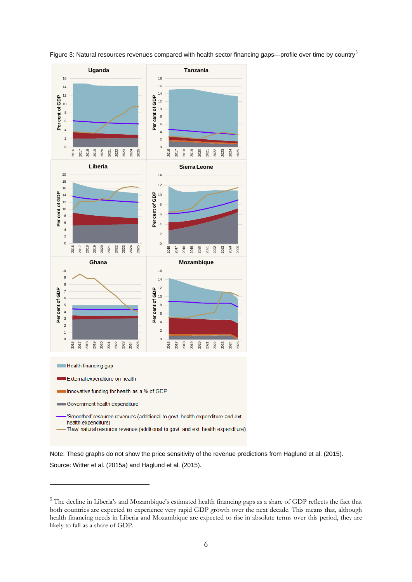

-

Figure 3: Natural resources revenues compared with health sector financing gaps—profile over time by country<sup>[5](#page-7-0)</sup>

Note: These graphs do not show the price sensitivity of the revenue predictions from Haglund et al. (2015). Source: Witter et al. (2015a) and Haglund et al. (2015).

<span id="page-7-0"></span> The decline in Liberia's and Mozambique's estimated health financing gaps as a share of GDP reflects the fact that both countries are expected to experience very rapid GDP growth over the next decade. This means that, although health financing needs in Liberia and Mozambique are expected to rise in absolute terms over this period, they are likely to fall as a share of GDP.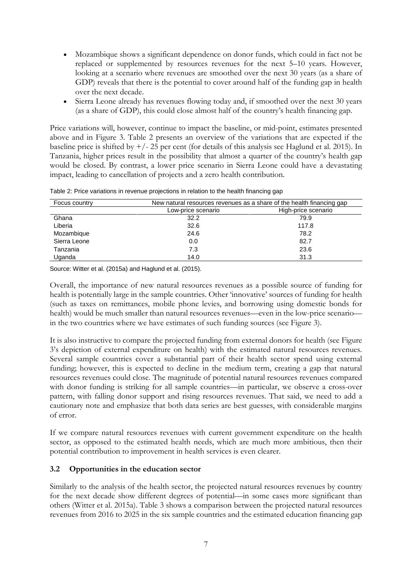- Mozambique shows a significant dependence on donor funds, which could in fact not be replaced or supplemented by resources revenues for the next 5–10 years. However, looking at a scenario where revenues are smoothed over the next 30 years (as a share of GDP) reveals that there is the potential to cover around half of the funding gap in health over the next decade.
- Sierra Leone already has revenues flowing today and, if smoothed over the next 30 years (as a share of GDP), this could close almost half of the country's health financing gap.

Price variations will, however, continue to impact the baseline, or mid-point, estimates presented above and in Figure 3. Table 2 presents an overview of the variations that are expected if the baseline price is shifted by  $+/- 25$  per cent (for details of this analysis see Haglund et al. 2015). In Tanzania, higher prices result in the possibility that almost a quarter of the country's health gap would be closed. By contrast, a lower price scenario in Sierra Leone could have a devastating impact, leading to cancellation of projects and a zero health contribution.

| Focus country | New natural resources revenues as a share of the health financing gap |                     |
|---------------|-----------------------------------------------------------------------|---------------------|
|               | Low-price scenario                                                    | High-price scenario |
| Ghana         | 32.2                                                                  | 79.9                |
| Liberia       | 32.6                                                                  | 117.8               |
| Mozambique    | 24.6                                                                  | 78.2                |
| Sierra Leone  | 0.0                                                                   | 82.7                |
| Tanzania      | 7.3                                                                   | 23.6                |
| Uganda        | 14.0                                                                  | 31.3                |

Table 2: Price variations in revenue projections in relation to the health financing gap

Source: Witter et al. (2015a) and Haglund et al. (2015).

Overall, the importance of new natural resources revenues as a possible source of funding for health is potentially large in the sample countries. Other 'innovative' sources of funding for health (such as taxes on remittances, mobile phone levies, and borrowing using domestic bonds for health) would be much smaller than natural resources revenues—even in the low-price scenario in the two countries where we have estimates of such funding sources (see Figure 3).

It is also instructive to compare the projected funding from external donors for health (see Figure 3's depiction of external expenditure on health) with the estimated natural resources revenues. Several sample countries cover a substantial part of their health sector spend using external funding; however, this is expected to decline in the medium term, creating a gap that natural resources revenues could close. The magnitude of potential natural resources revenues compared with donor funding is striking for all sample countries—in particular, we observe a cross-over pattern, with falling donor support and rising resources revenues. That said, we need to add a cautionary note and emphasize that both data series are best guesses, with considerable margins of error.

If we compare natural resources revenues with current government expenditure on the health sector, as opposed to the estimated health needs, which are much more ambitious, then their potential contribution to improvement in health services is even clearer.

## **3.2 Opportunities in the education sector**

Similarly to the analysis of the health sector, the projected natural resources revenues by country for the next decade show different degrees of potential—in some cases more significant than others (Witter et al. 2015a). Table 3 shows a comparison between the projected natural resources revenues from 2016 to 2025 in the six sample countries and the estimated education financing gap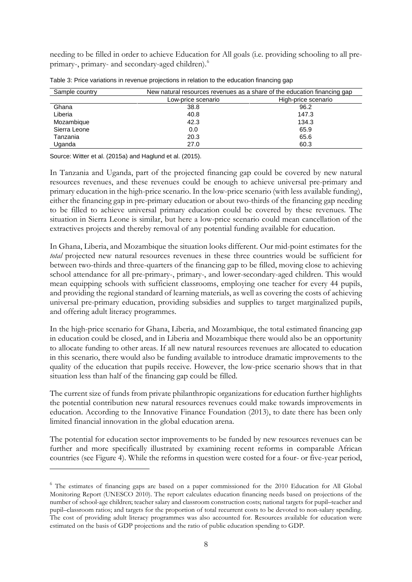needing to be filled in order to achieve Education for All goals (i.e. providing schooling to all preprimary-, primary- and secondary-aged children). [6](#page-9-0)

| Sample country | New natural resources revenues as a share of the education financing gap |                     |
|----------------|--------------------------------------------------------------------------|---------------------|
|                | Low-price scenario                                                       | High-price scenario |
| Ghana          | 38.8                                                                     | 96.2                |
| Liberia        | 40.8                                                                     | 147.3               |
| Mozambique     | 42.3                                                                     | 134.3               |
| Sierra Leone   | 0.0                                                                      | 65.9                |
| Tanzania       | 20.3                                                                     | 65.6                |
| Uganda         | 27.0                                                                     | 60.3                |

Table 3: Price variations in revenue projections in relation to the education financing gap

Source: Witter et al. (2015a) and Haglund et al. (2015).

<u>.</u>

In Tanzania and Uganda, part of the projected financing gap could be covered by new natural resources revenues, and these revenues could be enough to achieve universal pre-primary and primary education in the high-price scenario. In the low-price scenario (with less available funding), either the financing gap in pre-primary education or about two-thirds of the financing gap needing to be filled to achieve universal primary education could be covered by these revenues. The situation in Sierra Leone is similar, but here a low-price scenario could mean cancellation of the extractives projects and thereby removal of any potential funding available for education.

In Ghana, Liberia, and Mozambique the situation looks different. Our mid-point estimates for the *total* projected new natural resources revenues in these three countries would be sufficient for between two-thirds and three-quarters of the financing gap to be filled, moving close to achieving school attendance for all pre-primary-, primary-, and lower-secondary-aged children. This would mean equipping schools with sufficient classrooms, employing one teacher for every 44 pupils, and providing the regional standard of learning materials, as well as covering the costs of achieving universal pre-primary education, providing subsidies and supplies to target marginalized pupils, and offering adult literacy programmes.

In the high-price scenario for Ghana, Liberia, and Mozambique, the total estimated financing gap in education could be closed, and in Liberia and Mozambique there would also be an opportunity to allocate funding to other areas. If all new natural resources revenues are allocated to education in this scenario, there would also be funding available to introduce dramatic improvements to the quality of the education that pupils receive. However, the low-price scenario shows that in that situation less than half of the financing gap could be filled.

The current size of funds from private philanthropic organizations for education further highlights the potential contribution new natural resources revenues could make towards improvements in education. According to the Innovative Finance Foundation (2013), to date there has been only limited financial innovation in the global education arena.

The potential for education sector improvements to be funded by new resources revenues can be further and more specifically illustrated by examining recent reforms in comparable African countries (see Figure 4). While the reforms in question were costed for a four- or five-year period,

<span id="page-9-0"></span><sup>&</sup>lt;sup>6</sup> The estimates of financing gaps are based on a paper commissioned for the 2010 Education for All Global Monitoring Report (UNESCO 2010). The report calculates education financing needs based on projections of the number of school-age children; teacher salary and classroom construction costs; national targets for pupil–teacher and pupil–classroom ratios; and targets for the proportion of total recurrent costs to be devoted to non-salary spending. The cost of providing adult literacy programmes was also accounted for. Resources available for education were estimated on the basis of GDP projections and the ratio of public education spending to GDP.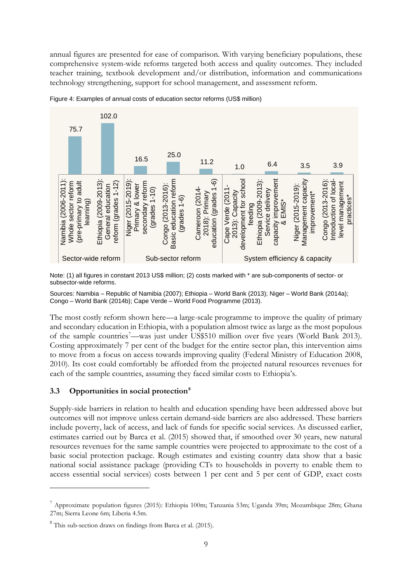annual figures are presented for ease of comparison. With varying beneficiary populations, these comprehensive system-wide reforms targeted both access and quality outcomes. They included teacher training, textbook development and/or distribution, information and communications technology strengthening, support for school management, and assessment reform.





Note: (1) all figures in constant 2013 US\$ million; (2) costs marked with \* are sub-components of sector- or subsector-wide reforms.

Sources: Namibia – Republic of Namibia (2007); Ethiopia – World Bank (2013); Niger – World Bank (2014a); Congo – World Bank (2014b); Cape Verde – World Food Programme (2013).

The most costly reform shown here—a large-scale programme to improve the quality of primary and secondary education in Ethiopia, with a population almost twice as large as the most populous of the sample countries<sup>[7](#page-10-0)</sup>—was just under US\$510 million over five years (World Bank 2013). Costing approximately 7 per cent of the budget for the entire sector plan, this intervention aims to move from a focus on access towards improving quality (Federal Ministry of Education 2008, 2010). Its cost could comfortably be afforded from the projected natural resources revenues for each of the sample countries, assuming they faced similar costs to Ethiopia's.

#### **3.3 Opportunities in social protection[8](#page-10-1)**

Supply-side barriers in relation to health and education spending have been addressed above but outcomes will not improve unless certain demand-side barriers are also addressed. These barriers include poverty, lack of access, and lack of funds for specific social services. As discussed earlier, estimates carried out by Barca et al. (2015) showed that, if smoothed over 30 years, new natural resources revenues for the same sample countries were projected to approximate to the cost of a basic social protection package. Rough estimates and existing country data show that a basic national social assistance package (providing CTs to households in poverty to enable them to access essential social services) costs between 1 per cent and 5 per cent of GDP, exact costs

<u>.</u>

<span id="page-10-0"></span><sup>7</sup> Approximate population figures (2015): Ethiopia 100m; Tanzania 53m; Uganda 39m; Mozambique 28m; Ghana 27m; Sierra Leone 6m; Liberia 4.5m.

<span id="page-10-1"></span><sup>8</sup> This sub-section draws on findings from Barca et al. (2015).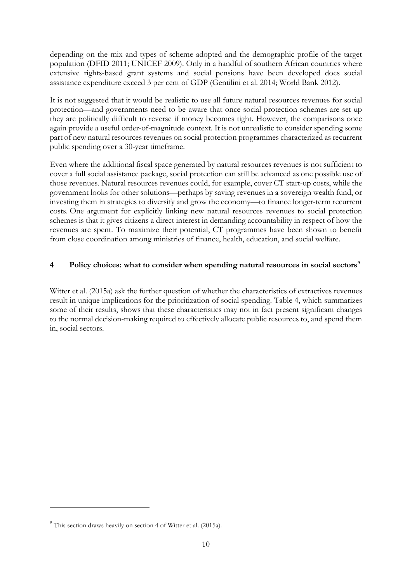depending on the mix and types of scheme adopted and the demographic profile of the target population (DFID 2011; UNICEF 2009). Only in a handful of southern African countries where extensive rights-based grant systems and social pensions have been developed does social assistance expenditure exceed 3 per cent of GDP (Gentilini et al. 2014; World Bank 2012).

It is not suggested that it would be realistic to use all future natural resources revenues for social protection—and governments need to be aware that once social protection schemes are set up they are politically difficult to reverse if money becomes tight. However, the comparisons once again provide a useful order-of-magnitude context. It is not unrealistic to consider spending some part of new natural resources revenues on social protection programmes characterized as recurrent public spending over a 30-year timeframe.

Even where the additional fiscal space generated by natural resources revenues is not sufficient to cover a full social assistance package, social protection can still be advanced as one possible use of those revenues. Natural resources revenues could, for example, cover CT start-up costs, while the government looks for other solutions—perhaps by saving revenues in a sovereign wealth fund, or investing them in strategies to diversify and grow the economy—to finance longer-term recurrent costs. One argument for explicitly linking new natural resources revenues to social protection schemes is that it gives citizens a direct interest in demanding accountability in respect of how the revenues are spent. To maximize their potential, CT programmes have been shown to benefit from close coordination among ministries of finance, health, education, and social welfare.

## **4 Policy choices: what to consider when spending natural resources in social sectors[9](#page-11-0)**

Witter et al. (2015a) ask the further question of whether the characteristics of extractives revenues result in unique implications for the prioritization of social spending. Table 4, which summarizes some of their results, shows that these characteristics may not in fact present significant changes to the normal decision-making required to effectively allocate public resources to, and spend them in, social sectors.

-

<span id="page-11-0"></span> $9$  This section draws heavily on section 4 of Witter et al. (2015a).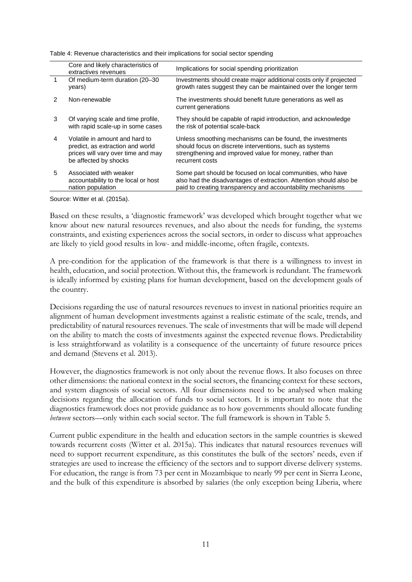|              | Core and likely characteristics of<br>extractives revenues                                                                        | Implications for social spending prioritization                                                                                                                                                    |
|--------------|-----------------------------------------------------------------------------------------------------------------------------------|----------------------------------------------------------------------------------------------------------------------------------------------------------------------------------------------------|
| $\mathbf{1}$ | Of medium-term duration (20-30<br>years)                                                                                          | Investments should create major additional costs only if projected<br>growth rates suggest they can be maintained over the longer term                                                             |
| 2            | Non-renewable                                                                                                                     | The investments should benefit future generations as well as<br>current generations                                                                                                                |
| 3            | Of varying scale and time profile,<br>with rapid scale-up in some cases                                                           | They should be capable of rapid introduction, and acknowledge<br>the risk of potential scale-back                                                                                                  |
| 4            | Volatile in amount and hard to<br>predict, as extraction and world<br>prices will vary over time and may<br>be affected by shocks | Unless smoothing mechanisms can be found, the investments<br>should focus on discrete interventions, such as systems<br>strengthening and improved value for money, rather than<br>recurrent costs |
| 5            | Associated with weaker<br>accountability to the local or host<br>nation population                                                | Some part should be focused on local communities, who have<br>also had the disadvantages of extraction. Attention should also be<br>paid to creating transparency and accountability mechanisms    |
|              |                                                                                                                                   |                                                                                                                                                                                                    |

Table 4: Revenue characteristics and their implications for social sector spending

Source: Witter et al. (2015a).

Based on these results, a 'diagnostic framework' was developed which brought together what we know about new natural resources revenues, and also about the needs for funding, the systems constraints, and existing experiences across the social sectors, in order to discuss what approaches are likely to yield good results in low- and middle-income, often fragile, contexts.

A pre-condition for the application of the framework is that there is a willingness to invest in health, education, and social protection. Without this, the framework is redundant. The framework is ideally informed by existing plans for human development, based on the development goals of the country.

Decisions regarding the use of natural resources revenues to invest in national priorities require an alignment of human development investments against a realistic estimate of the scale, trends, and predictability of natural resources revenues. The scale of investments that will be made will depend on the ability to match the costs of investments against the expected revenue flows. Predictability is less straightforward as volatility is a consequence of the uncertainty of future resource prices and demand (Stevens et al. 2013).

However, the diagnostics framework is not only about the revenue flows. It also focuses on three other dimensions: the national context in the social sectors, the financing context for these sectors, and system diagnosis of social sectors. All four dimensions need to be analysed when making decisions regarding the allocation of funds to social sectors. It is important to note that the diagnostics framework does not provide guidance as to how governments should allocate funding *between* sectors—only within each social sector. The full framework is shown in Table 5.

Current public expenditure in the health and education sectors in the sample countries is skewed towards recurrent costs (Witter et al. 2015a). This indicates that natural resources revenues will need to support recurrent expenditure, as this constitutes the bulk of the sectors' needs, even if strategies are used to increase the efficiency of the sectors and to support diverse delivery systems. For education, the range is from 73 per cent in Mozambique to nearly 99 per cent in Sierra Leone, and the bulk of this expenditure is absorbed by salaries (the only exception being Liberia, where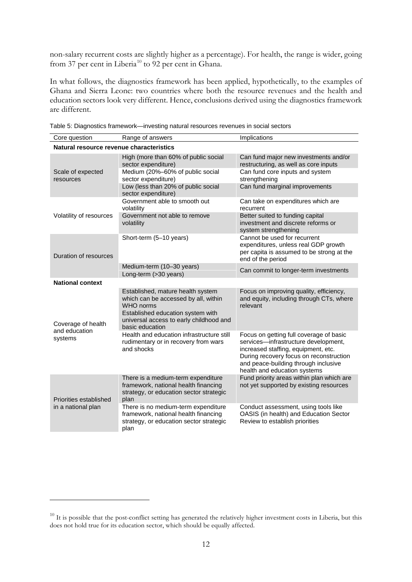non-salary recurrent costs are slightly higher as a percentage). For health, the range is wider, going from 37 per cent in Liberia<sup>[10](#page-13-0)</sup> to 92 per cent in Ghana.

In what follows, the diagnostics framework has been applied, hypothetically, to the examples of Ghana and Sierra Leone: two countries where both the resource revenues and the health and education sectors look very different. Hence, conclusions derived using the diagnostics framework are different.

| Core question                                  | Range of answers                                                                                                                                                                          | Implications                                                                                                                                                                                                                              |  |
|------------------------------------------------|-------------------------------------------------------------------------------------------------------------------------------------------------------------------------------------------|-------------------------------------------------------------------------------------------------------------------------------------------------------------------------------------------------------------------------------------------|--|
| Natural resource revenue characteristics       |                                                                                                                                                                                           |                                                                                                                                                                                                                                           |  |
| Scale of expected<br>resources                 | High (more than 60% of public social<br>sector expenditure)                                                                                                                               | Can fund major new investments and/or<br>restructuring, as well as core inputs                                                                                                                                                            |  |
|                                                | Medium (20%-60% of public social<br>sector expenditure)                                                                                                                                   | Can fund core inputs and system<br>strengthening                                                                                                                                                                                          |  |
|                                                | Low (less than 20% of public social<br>sector expenditure)                                                                                                                                | Can fund marginal improvements                                                                                                                                                                                                            |  |
|                                                | Government able to smooth out<br>volatility                                                                                                                                               | Can take on expenditures which are<br>recurrent                                                                                                                                                                                           |  |
| Volatility of resources                        | Government not able to remove<br>volatility                                                                                                                                               | Better suited to funding capital<br>investment and discrete reforms or<br>system strengthening                                                                                                                                            |  |
| Duration of resources                          | Short-term (5-10 years)                                                                                                                                                                   | Cannot be used for recurrent<br>expenditures, unless real GDP growth<br>per capita is assumed to be strong at the<br>end of the period                                                                                                    |  |
|                                                | Medium-term (10-30 years)<br>Long-term (>30 years)                                                                                                                                        | Can commit to longer-term investments                                                                                                                                                                                                     |  |
| <b>National context</b>                        |                                                                                                                                                                                           |                                                                                                                                                                                                                                           |  |
| Coverage of health<br>and education<br>systems | Established, mature health system<br>which can be accessed by all, within<br>WHO norms<br>Established education system with<br>universal access to early childhood and<br>basic education | Focus on improving quality, efficiency,<br>and equity, including through CTs, where<br>relevant                                                                                                                                           |  |
|                                                | Health and education infrastructure still<br>rudimentary or in recovery from wars<br>and shocks                                                                                           | Focus on getting full coverage of basic<br>services-infrastructure development,<br>increased staffing, equipment, etc.<br>During recovery focus on reconstruction<br>and peace-building through inclusive<br>health and education systems |  |
| Priorities established<br>in a national plan   | There is a medium-term expenditure<br>framework, national health financing<br>strategy, or education sector strategic<br>plan                                                             | Fund priority areas within plan which are<br>not yet supported by existing resources                                                                                                                                                      |  |
|                                                | There is no medium-term expenditure<br>framework, national health financing<br>strategy, or education sector strategic<br>plan                                                            | Conduct assessment, using tools like<br>OASIS (in health) and Education Sector<br>Review to establish priorities                                                                                                                          |  |

Table 5: Diagnostics framework—investing natural resources revenues in social sectors

<u>.</u>

<span id="page-13-0"></span> $10$  It is possible that the post-conflict setting has generated the relatively higher investment costs in Liberia, but this does not hold true for its education sector, which should be equally affected.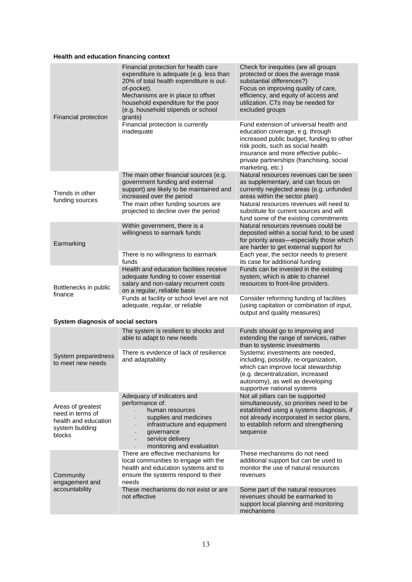#### **Health and education financing context**

| Financial protection                                                                       | Financial protection for health care<br>expenditure is adequate (e.g. less than<br>20% of total health expenditure is out-<br>of-pocket).<br>Mechanisms are in place to offset<br>household expenditure for the poor<br>(e.g. household stipends or school<br>grants) | Check for inequities (are all groups<br>protected or does the average mask<br>substantial differences?)<br>Focus on improving quality of care,<br>efficiency, and equity of access and<br>utilization. CTs may be needed for<br>excluded groups                       |
|--------------------------------------------------------------------------------------------|-----------------------------------------------------------------------------------------------------------------------------------------------------------------------------------------------------------------------------------------------------------------------|-----------------------------------------------------------------------------------------------------------------------------------------------------------------------------------------------------------------------------------------------------------------------|
|                                                                                            | Financial protection is currently<br>inadequate                                                                                                                                                                                                                       | Fund extension of universal health and<br>education coverage, e.g. through<br>increased public budget, funding to other<br>risk pools, such as social health<br>insurance and more effective public-<br>private partnerships (franchising, social<br>marketing, etc.) |
| Trends in other<br>funding sources                                                         | The main other financial sources (e.g.<br>government funding and external<br>support) are likely to be maintained and<br>increased over the period                                                                                                                    | Natural resources revenues can be seen<br>as supplementary, and can focus on<br>currently neglected areas (e.g. unfunded<br>areas within the sector plan)                                                                                                             |
|                                                                                            | The main other funding sources are<br>projected to decline over the period                                                                                                                                                                                            | Natural resources revenues will need to<br>substitute for current sources and will<br>fund some of the existing commitments                                                                                                                                           |
| Earmarking                                                                                 | Within government, there is a<br>willingness to earmark funds                                                                                                                                                                                                         | Natural resources revenues could be<br>deposited within a social fund, to be used<br>for priority areas—especially those which<br>are harder to get external support for                                                                                              |
|                                                                                            | There is no willingness to earmark<br>funds                                                                                                                                                                                                                           | Each year, the sector needs to present<br>its case for additional funding                                                                                                                                                                                             |
| Bottlenecks in public<br>finance                                                           | Health and education facilities receive<br>adequate funding to cover essential<br>salary and non-salary recurrent costs<br>on a regular, reliable basis                                                                                                               | Funds can be invested in the existing<br>system, which is able to channel<br>resources to front-line providers.                                                                                                                                                       |
|                                                                                            | Funds at facility or school level are not<br>adequate, regular, or reliable                                                                                                                                                                                           | Consider reforming funding of facilities<br>(using capitation or combination of input,<br>output and quality measures)                                                                                                                                                |
| System diagnosis of social sectors                                                         |                                                                                                                                                                                                                                                                       |                                                                                                                                                                                                                                                                       |
|                                                                                            | The system is resilient to shocks and<br>able to adapt to new needs                                                                                                                                                                                                   | Funds should go to improving and<br>extending the range of services, rather<br>than to systemic investments                                                                                                                                                           |
| System preparedness<br>to meet new needs                                                   | There is evidence of lack of resilience<br>and adaptability                                                                                                                                                                                                           | Systemic investments are needed,<br>including, possibly, re-organization,<br>which can improve local stewardship<br>(e.g. decentralization, increased<br>autonomy), as well as developing<br>supportive national systems                                              |
| Areas of greatest<br>need in terms of<br>health and education<br>system building<br>blocks | Adequacy of indicators and<br>performance of:<br>human resources<br>supplies and medicines<br>infrastructure and equipment<br>governance<br>service delivery<br>monitoring and evaluation                                                                             | Not all pillars can be supported<br>simultaneously, so priorities need to be<br>established using a systems diagnosis, if<br>not already incorporated in sector plans,<br>to establish reform and strengthening<br>sequence                                           |
| Community<br>engagement and<br>accountability                                              | There are effective mechanisms for<br>local communities to engage with the<br>health and education systems and to<br>ensure the systems respond to their<br>needs<br>These mechanisms do not exist or are                                                             | These mechanisms do not need<br>additional support but can be used to<br>monitor the use of natural resources<br>revenues<br>Some part of the natural resources                                                                                                       |
|                                                                                            | not effective                                                                                                                                                                                                                                                         | revenues should be earmarked to<br>support local planning and monitoring<br>mechanisms                                                                                                                                                                                |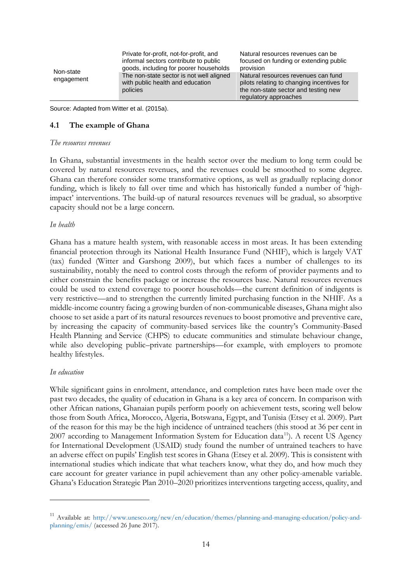| Non-state<br>engagement | Private for-profit, not-for-profit, and<br>informal sectors contribute to public<br>goods, including for poorer households | Natural resources revenues can be<br>focused on funding or extending public<br>provision                                  |
|-------------------------|----------------------------------------------------------------------------------------------------------------------------|---------------------------------------------------------------------------------------------------------------------------|
|                         | The non-state sector is not well aligned<br>with public health and education<br>policies                                   | Natural resources revenues can fund<br>pilots relating to changing incentives for<br>the non-state sector and testing new |
|                         |                                                                                                                            | regulatory approaches                                                                                                     |

Source: Adapted from Witter et al. (2015a).

#### **4.1 The example of Ghana**

#### *The resources revenues*

In Ghana, substantial investments in the health sector over the medium to long term could be covered by natural resources revenues, and the revenues could be smoothed to some degree. Ghana can therefore consider some transformative options, as well as gradually replacing donor funding, which is likely to fall over time and which has historically funded a number of 'highimpact' interventions. The build-up of natural resources revenues will be gradual, so absorptive capacity should not be a large concern.

#### *In health*

Ghana has a mature health system, with reasonable access in most areas. It has been extending financial protection through its National Health Insurance Fund (NHIF), which is largely VAT (tax) funded (Witter and Garshong 2009), but which faces a number of challenges to its sustainability, notably the need to control costs through the reform of provider payments and to either constrain the benefits package or increase the resources base. Natural resources revenues could be used to extend coverage to poorer households—the current definition of indigents is very restrictive—and to strengthen the currently limited purchasing function in the NHIF. As a middle-income country facing a growing burden of non-communicable diseases, Ghana might also choose to set aside a part of its natural resources revenues to boost promotive and preventive care, by increasing the capacity of community-based services like the country's Community-Based Health Planning and Service (CHPS) to educate communities and stimulate behaviour change, while also developing public–private partnerships—for example, with employers to promote healthy lifestyles.

#### *In education*

<u>.</u>

While significant gains in enrolment, attendance, and completion rates have been made over the past two decades, the quality of education in Ghana is a key area of concern. In comparison with other African nations, Ghanaian pupils perform poorly on achievement tests, scoring well below those from South Africa, Morocco, Algeria, Botswana, Egypt, and Tunisia (Etsey et al. 2009). Part of the reason for this may be the high incidence of untrained teachers (this stood at 36 per cent in 2007 according to Management Information System for Education data<sup>11</sup>). A recent US Agency for International Development (USAID) study found the number of untrained teachers to have an adverse effect on pupils' English test scores in Ghana (Etsey et al. 2009). This is consistent with international studies which indicate that what teachers know, what they do, and how much they care account for greater variance in pupil achievement than any other policy-amenable variable. Ghana's Education Strategic Plan 2010–2020 prioritizes interventions targeting access, quality, and

<span id="page-15-0"></span><sup>11</sup> Available at: [http://www.unesco.org/new/en/education/themes/planning-and-managing-education/policy-and](http://www.unesco.org/new/en/education/themes/planning-and-managing-education/policy-and-planning/emis/)[planning/emis/](http://www.unesco.org/new/en/education/themes/planning-and-managing-education/policy-and-planning/emis/) (accessed 26 June 2017).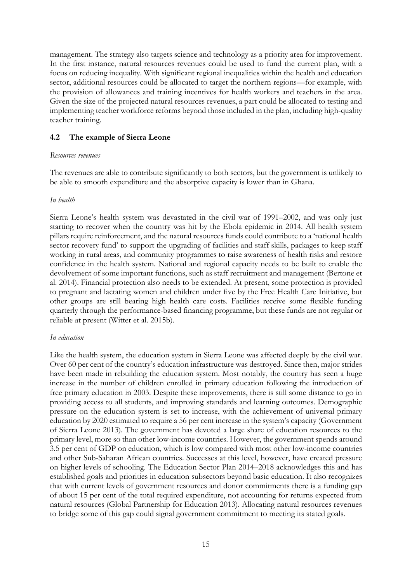management. The strategy also targets science and technology as a priority area for improvement. In the first instance, natural resources revenues could be used to fund the current plan, with a focus on reducing inequality. With significant regional inequalities within the health and education sector, additional resources could be allocated to target the northern regions—for example, with the provision of allowances and training incentives for health workers and teachers in the area. Given the size of the projected natural resources revenues, a part could be allocated to testing and implementing teacher workforce reforms beyond those included in the plan, including high-quality teacher training.

## **4.2 The example of Sierra Leone**

#### *Resources revenues*

The revenues are able to contribute significantly to both sectors, but the government is unlikely to be able to smooth expenditure and the absorptive capacity is lower than in Ghana.

## *In health*

Sierra Leone's health system was devastated in the civil war of 1991–2002, and was only just starting to recover when the country was hit by the Ebola epidemic in 2014. All health system pillars require reinforcement, and the natural resources funds could contribute to a 'national health sector recovery fund' to support the upgrading of facilities and staff skills, packages to keep staff working in rural areas, and community programmes to raise awareness of health risks and restore confidence in the health system. National and regional capacity needs to be built to enable the devolvement of some important functions, such as staff recruitment and management (Bertone et al. 2014). Financial protection also needs to be extended. At present, some protection is provided to pregnant and lactating women and children under five by the Free Health Care Initiative, but other groups are still bearing high health care costs. Facilities receive some flexible funding quarterly through the performance-based financing programme, but these funds are not regular or reliable at present (Witter et al. 2015b).

## *In education*

Like the health system, the education system in Sierra Leone was affected deeply by the civil war. Over 60 per cent of the country's education infrastructure was destroyed. Since then, major strides have been made in rebuilding the education system. Most notably, the country has seen a huge increase in the number of children enrolled in primary education following the introduction of free primary education in 2003. Despite these improvements, there is still some distance to go in providing access to all students, and improving standards and learning outcomes. Demographic pressure on the education system is set to increase, with the achievement of universal primary education by 2020 estimated to require a 56 per cent increase in the system's capacity (Government of Sierra Leone 2013). The government has devoted a large share of education resources to the primary level, more so than other low-income countries. However, the government spends around 3.5 per cent of GDP on education, which is low compared with most other low-income countries and other Sub-Saharan African countries. Successes at this level, however, have created pressure on higher levels of schooling. The Education Sector Plan 2014–2018 acknowledges this and has established goals and priorities in education subsectors beyond basic education. It also recognizes that with current levels of government resources and donor commitments there is a funding gap of about 15 per cent of the total required expenditure, not accounting for returns expected from natural resources (Global Partnership for Education 2013). Allocating natural resources revenues to bridge some of this gap could signal government commitment to meeting its stated goals.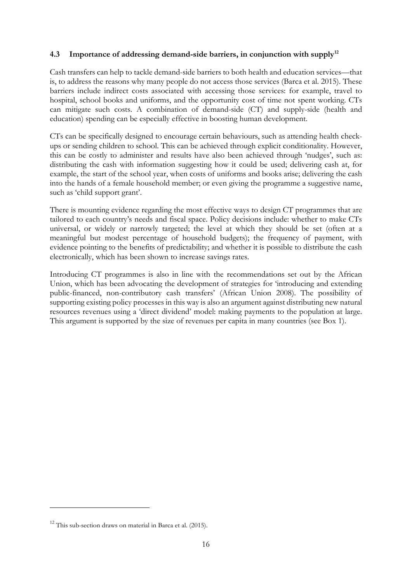## **4.3 Importance of addressing demand-side barriers, in conjunction with supply[12](#page-17-0)**

Cash transfers can help to tackle demand-side barriers to both health and education services—that is, to address the reasons why many people do not access those services (Barca et al. 2015). These barriers include indirect costs associated with accessing those services: for example, travel to hospital, school books and uniforms, and the opportunity cost of time not spent working. CTs can mitigate such costs. A combination of demand-side (CT) and supply-side (health and education) spending can be especially effective in boosting human development.

CTs can be specifically designed to encourage certain behaviours, such as attending health checkups or sending children to school. This can be achieved through explicit conditionality. However, this can be costly to administer and results have also been achieved through 'nudges', such as: distributing the cash with information suggesting how it could be used; delivering cash at, for example, the start of the school year, when costs of uniforms and books arise; delivering the cash into the hands of a female household member; or even giving the programme a suggestive name, such as 'child support grant'.

There is mounting evidence regarding the most effective ways to design CT programmes that are tailored to each country's needs and fiscal space. Policy decisions include: whether to make CTs universal, or widely or narrowly targeted; the level at which they should be set (often at a meaningful but modest percentage of household budgets); the frequency of payment, with evidence pointing to the benefits of predictability; and whether it is possible to distribute the cash electronically, which has been shown to increase savings rates.

Introducing CT programmes is also in line with the recommendations set out by the African Union, which has been advocating the development of strategies for 'introducing and extending public-financed, non-contributory cash transfers' (African Union 2008). The possibility of supporting existing policy processes in this way is also an argument against distributing new natural resources revenues using a 'direct dividend' model: making payments to the population at large. This argument is supported by the size of revenues per capita in many countries (see Box 1).

-

<span id="page-17-0"></span><sup>&</sup>lt;sup>12</sup> This sub-section draws on material in Barca et al. (2015).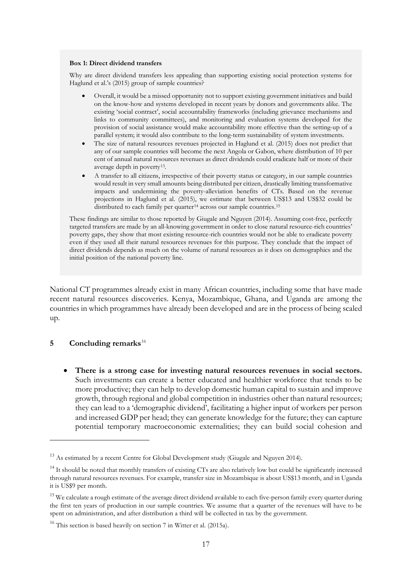#### **Box 1: Direct dividend transfers**

Why are direct dividend transfers less appealing than supporting existing social protection systems for Haglund et al.'s (2015) group of sample countries?

- Overall, it would be a missed opportunity not to support existing government initiatives and build on the know-how and systems developed in recent years by donors and governments alike. The existing 'social contract', social accountability frameworks (including grievance mechanisms and links to community committees), and monitoring and evaluation systems developed for the provision of social assistance would make accountability more effective than the setting-up of a parallel system; it would also contribute to the long-term sustainability of system investments.
- The size of natural resources revenues projected in Haglund et al. (2015) does not predict that any of our sample countries will become the next Angola or Gabon, where distribution of 10 per cent of annual natural resources revenues as direct dividends could eradicate half or more of their average depth in poverty[13](#page-18-0).
- A transfer to all citizens, irrespective of their poverty status or category, in our sample countries would result in very small amounts being distributed per citizen, drastically limiting transformative impacts and undermining the poverty-alleviation benefits of CTs. Based on the revenue projections in Haglund et al. (2015), we estimate that between US\$13 and US\$32 could be distributed to each family per quarter<sup>[14](#page-18-1)</sup> across our sample countries.<sup>[15](#page-18-2)</sup>

These findings are similar to those reported by Giugale and Nguyen (2014). Assuming cost-free, perfectly targeted transfers are made by an all-knowing government in order to close natural resource-rich countries' poverty gaps, they show that most existing resource-rich countries would not be able to eradicate poverty even if they used all their natural resources revenues for this purpose. They conclude that the impact of direct dividends depends as much on the volume of natural resources as it does on demographics and the initial position of the national poverty line.

National CT programmes already exist in many African countries, including some that have made recent natural resources discoveries. Kenya, Mozambique, Ghana, and Uganda are among the countries in which programmes have already been developed and are in the process of being scaled up.

#### **5 Concluding remarks**<sup>[16](#page-18-3)</sup>

-

• **There is a strong case for investing natural resources revenues in social sectors.**  Such investments can create a better educated and healthier workforce that tends to be more productive; they can help to develop domestic human capital to sustain and improve growth, through regional and global competition in industries other than natural resources; they can lead to a 'demographic dividend', facilitating a higher input of workers per person and increased GDP per head; they can generate knowledge for the future; they can capture potential temporary macroeconomic externalities; they can build social cohesion and

<span id="page-18-0"></span><sup>&</sup>lt;sup>13</sup> As estimated by a recent Centre for Global Development study (Giugale and Nguyen 2014).

<span id="page-18-1"></span> $14$  It should be noted that monthly transfers of existing CTs are also relatively low but could be significantly increased through natural resources revenues. For example, transfer size in Mozambique is about US\$13 month, and in Uganda it is US\$9 per month.

<span id="page-18-2"></span><sup>&</sup>lt;sup>15</sup> We calculate a rough estimate of the average direct dividend available to each five-person family every quarter during the first ten years of production in our sample countries. We assume that a quarter of the revenues will have to be spent on administration, and after distribution a third will be collected in tax by the government.

<span id="page-18-3"></span><sup>&</sup>lt;sup>16</sup> This section is based heavily on section 7 in Witter et al. (2015a).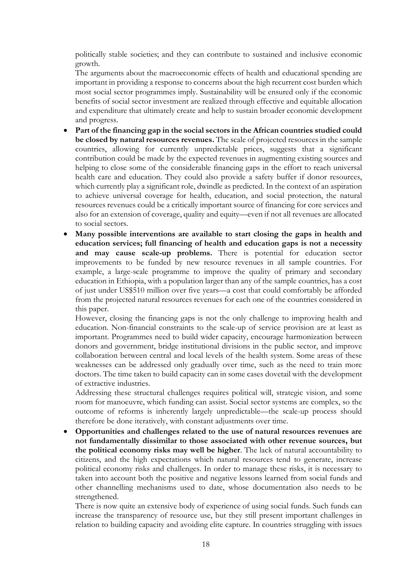politically stable societies; and they can contribute to sustained and inclusive economic growth.

The arguments about the macroeconomic effects of health and educational spending are important in providing a response to concerns about the high recurrent cost burden which most social sector programmes imply. Sustainability will be ensured only if the economic benefits of social sector investment are realized through effective and equitable allocation and expenditure that ultimately create and help to sustain broader economic development and progress.

- **Part of the financing gap in the social sectors in the African countries studied could be closed by natural resources revenues.** The scale of projected resources in the sample countries, allowing for currently unpredictable prices, suggests that a significant contribution could be made by the expected revenues in augmenting existing sources and helping to close some of the considerable financing gaps in the effort to reach universal health care and education. They could also provide a safety buffer if donor resources, which currently play a significant role, dwindle as predicted. In the context of an aspiration to achieve universal coverage for health, education, and social protection, the natural resources revenues could be a critically important source of financing for core services and also for an extension of coverage, quality and equity—even if not all revenues are allocated to social sectors.
- **Many possible interventions are available to start closing the gaps in health and education services; full financing of health and education gaps is not a necessity and may cause scale-up problems.** There is potential for education sector improvements to be funded by new resource revenues in all sample countries. For example, a large-scale programme to improve the quality of primary and secondary education in Ethiopia, with a population larger than any of the sample countries, has a cost of just under US\$510 million over five years—a cost that could comfortably be afforded from the projected natural resources revenues for each one of the countries considered in this paper.

However, closing the financing gaps is not the only challenge to improving health and education. Non-financial constraints to the scale-up of service provision are at least as important. Programmes need to build wider capacity, encourage harmonization between donors and government, bridge institutional divisions in the public sector, and improve collaboration between central and local levels of the health system. Some areas of these weaknesses can be addressed only gradually over time, such as the need to train more doctors. The time taken to build capacity can in some cases dovetail with the development of extractive industries.

Addressing these structural challenges requires political will, strategic vision, and some room for manoeuvre, which funding can assist. Social sector systems are complex, so the outcome of reforms is inherently largely unpredictable—the scale-up process should therefore be done iteratively, with constant adjustments over time.

• **Opportunities and challenges related to the use of natural resources revenues are not fundamentally dissimilar to those associated with other revenue sources, but the political economy risks may well be higher**. The lack of natural accountability to citizens, and the high expectations which natural resources tend to generate, increase political economy risks and challenges. In order to manage these risks, it is necessary to taken into account both the positive and negative lessons learned from social funds and other channelling mechanisms used to date, whose documentation also needs to be strengthened.

There is now quite an extensive body of experience of using social funds. Such funds can increase the transparency of resource use, but they still present important challenges in relation to building capacity and avoiding elite capture. In countries struggling with issues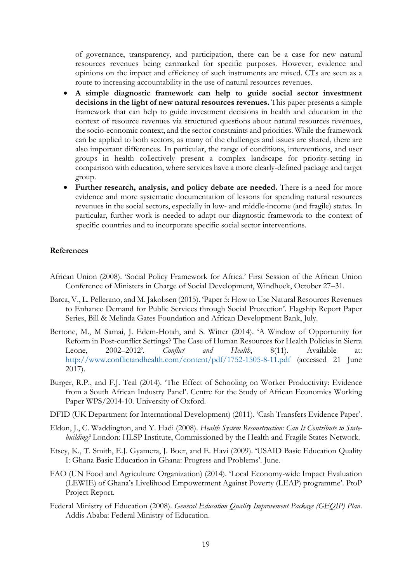of governance, transparency, and participation, there can be a case for new natural resources revenues being earmarked for specific purposes. However, evidence and opinions on the impact and efficiency of such instruments are mixed. CTs are seen as a route to increasing accountability in the use of natural resources revenues.

- **A simple diagnostic framework can help to guide social sector investment decisions in the light of new natural resources revenues.** This paper presents a simple framework that can help to guide investment decisions in health and education in the context of resource revenues via structured questions about natural resources revenues, the socio-economic context, and the sector constraints and priorities. While the framework can be applied to both sectors, as many of the challenges and issues are shared, there are also important differences. In particular, the range of conditions, interventions, and user groups in health collectively present a complex landscape for priority-setting in comparison with education, where services have a more clearly-defined package and target group.
- **Further research, analysis, and policy debate are needed.** There is a need for more evidence and more systematic documentation of lessons for spending natural resources revenues in the social sectors, especially in low- and middle-income (and fragile) states. In particular, further work is needed to adapt our diagnostic framework to the context of specific countries and to incorporate specific social sector interventions.

#### **References**

- African Union (2008). 'Social Policy Framework for Africa.' First Session of the African Union Conference of Ministers in Charge of Social Development, Windhoek, October 27–31.
- Barca, V., L. Pellerano, and M. Jakobsen (2015). 'Paper 5: How to Use Natural Resources Revenues to Enhance Demand for Public Services through Social Protection'. Flagship Report Paper Series, Bill & Melinda Gates Foundation and African Development Bank, July.
- Bertone, M., M Samai, J. Edem-Hotah, and S. Witter (2014). 'A Window of Opportunity for Reform in Post-conflict Settings? The Case of Human Resources for Health Policies in Sierra Leone, 2002–2012'. *Conflict and Health*, 8(11). Available at: <http://www.conflictandhealth.com/content/pdf/1752-1505-8-11.pdf> (accessed 21 June 2017).
- Burger, R.P., and F.J. Teal (2014). 'The Effect of Schooling on Worker Productivity: Evidence from a South African Industry Panel'. Centre for the Study of African Economies Working Paper WPS/2014-10. University of Oxford.
- DFID (UK Department for International Development) (2011). 'Cash Transfers Evidence Paper'.
- Eldon, J., C. Waddington, and Y. Hadi (2008). *Health System Reconstruction: Can It Contribute to Statebuilding?* London: HLSP Institute, Commissioned by the Health and Fragile States Network.
- Etsey, K., T. Smith, E.J. Gyamera, J. Boer, and E. Havi (2009). 'USAID Basic Education Quality I: Ghana Basic Education in Ghana: Progress and Problems'. June.
- FAO (UN Food and Agriculture Organization) (2014). 'Local Economy-wide Impact Evaluation (LEWIE) of Ghana's Livelihood Empowerment Against Poverty (LEAP) programme'. PtoP Project Report.
- Federal Ministry of Education (2008). *General Education Quality Improvement Package (GEQIP) Plan*. Addis Ababa: Federal Ministry of Education.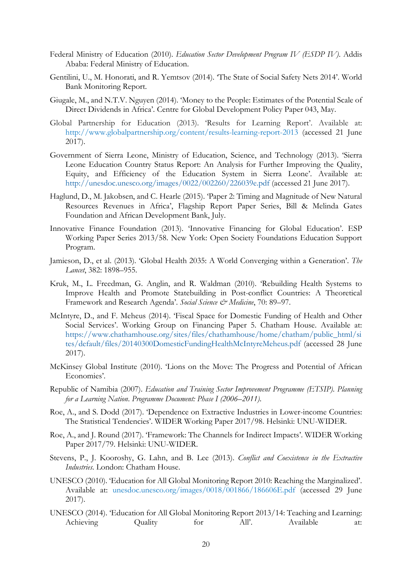- Federal Ministry of Education (2010). *Education Sector Development Program IV (ESDP IV)*. Addis Ababa: Federal Ministry of Education.
- Gentilini, U., M. Honorati, and R. Yemtsov (2014). 'The State of Social Safety Nets 2014'. World Bank Monitoring Report.
- Giugale, M., and N.T.V. Nguyen (2014). 'Money to the People: Estimates of the Potential Scale of Direct Dividends in Africa'. Centre for Global Development Policy Paper 043, May.
- Global Partnership for Education (2013). 'Results for Learning Report'. Available at: http://www.globalpartnership.org/content/results-learning-report-2013 (accessed 21 June 2017).
- Government of Sierra Leone, Ministry of Education, Science, and Technology (2013). 'Sierra Leone Education Country Status Report: An Analysis for Further Improving the Quality, Equity, and Efficiency of the Education System in Sierra Leone'. Available at: <http://unesdoc.unesco.org/images/0022/002260/226039e.pdf> (accessed 21 June 2017).
- Haglund, D., M. Jakobsen, and C. Hearle (2015). 'Paper 2: Timing and Magnitude of New Natural Resources Revenues in Africa', Flagship Report Paper Series, Bill & Melinda Gates Foundation and African Development Bank, July.
- Innovative Finance Foundation (2013). 'Innovative Financing for Global Education'. ESP Working Paper Series 2013/58. New York: Open Society Foundations Education Support Program.
- Jamieson, D., et al. (2013). 'Global Health 2035: A World Converging within a Generation'. *The Lancet*, 382: 1898–955.
- Kruk, M., L. Freedman, G. Anglin, and R. Waldman (2010). 'Rebuilding Health Systems to Improve Health and Promote Statebuilding in Post-conflict Countries: A Theoretical Framework and Research Agenda'. *Social Science & Medicine*, 70: 89–97.
- McIntyre, D., and F. Meheus (2014). 'Fiscal Space for Domestic Funding of Health and Other Social Services'. Working Group on Financing Paper 5. Chatham House. Available at: [https://www.chathamhouse.org/sites/files/chathamhouse/home/chatham/public\\_html/si](https://www.chathamhouse.org/sites/files/chathamhouse/home/chatham/public_html/sites/default/files/20140300DomesticFundingHealthMcIntyreMeheus.pdf) [tes/default/files/20140300DomesticFundingHealthMcIntyreMeheus.pdf](https://www.chathamhouse.org/sites/files/chathamhouse/home/chatham/public_html/sites/default/files/20140300DomesticFundingHealthMcIntyreMeheus.pdf) (accessed 28 June 2017).
- McKinsey Global Institute (2010). 'Lions on the Move: The Progress and Potential of African Economies'.
- Republic of Namibia (2007). *Education and Training Sector Improvement Programme (ETSIP)*. *Planning for a Learning Nation*. *Programme Document: Phase I (2006–2011)*.
- Roe, A., and S. Dodd (2017). 'Dependence on Extractive Industries in Lower-income Countries: The Statistical Tendencies'. WIDER Working Paper 2017/98. Helsinki: UNU-WIDER.
- Roe, A., and J. Round (2017). 'Framework: The Channels for Indirect Impacts'. WIDER Working Paper 2017/79. Helsinki: UNU-WIDER.
- Stevens, P., J. Kooroshy, G. Lahn, and B. Lee (2013). *Conflict and Coexistence in the Extractive Industries*. London: Chatham House.
- UNESCO (2010). 'Education for All Global Monitoring Report 2010: Reaching the Marginalized'. Available at: unesdoc.unesco.org/images/0018/001866/186606E.pdf (accessed 29 June 2017).
- UNESCO (2014). 'Education for All Global Monitoring Report 2013/14: Teaching and Learning: Achieving Quality for All'. Available at: